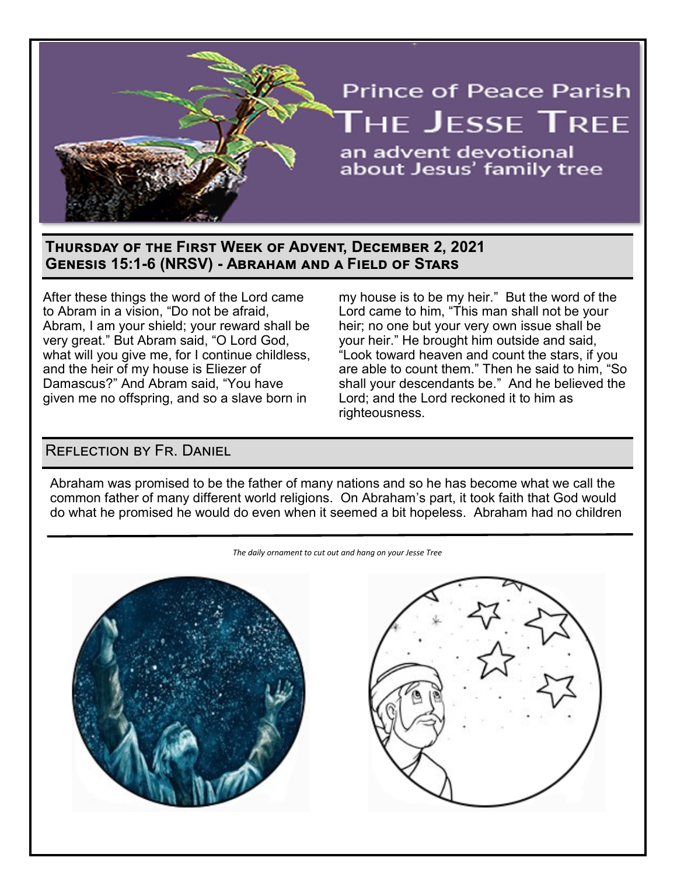

## **Thursday of the First Week of Advent, December 2, 2021 Genesis 15:1-6 (NRSV) - Abraham and a Field of Stars**

After these things the word of the Lord came to Abram in a vision, "Do not be afraid, Abram, I am your shield; your reward shall be very great." But Abram said, "O Lord God, what will you give me, for I continue childless, and the heir of my house is Eliezer of Damascus?" And Abram said, "You have given me no offspring, and so a slave born in

my house is to be my heir." But the word of the Lord came to him, "This man shall not be your heir; no one but your very own issue shall be your heir." He brought him outside and said, "Look toward heaven and count the stars, if you are able to count them." Then he said to him, "So shall your descendants be." And he believed the Lord; and the Lord reckoned it to him as righteousness.

## Reflection by Fr. Daniel

Abraham was promised to be the father of many nations and so he has become what we call the common father of many different world religions. On Abraham's part, it took faith that God would do what he promised he would do even when it seemed a bit hopeless. Abraham had no children